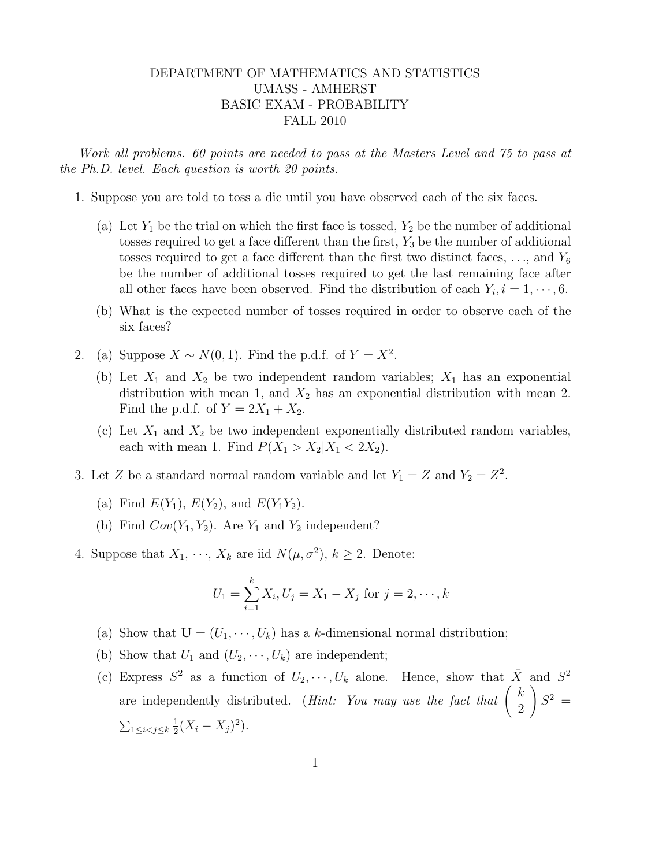## DEPARTMENT OF MATHEMATICS AND STATISTICS UMASS - AMHERST BASIC EXAM - PROBABILITY FALL 2010

Work all problems. 60 points are needed to pass at the Masters Level and 75 to pass at the Ph.D. level. Each question is worth 20 points.

- 1. Suppose you are told to toss a die until you have observed each of the six faces.
	- (a) Let  $Y_1$  be the trial on which the first face is tossed,  $Y_2$  be the number of additional tosses required to get a face different than the first,  $Y_3$  be the number of additional tosses required to get a face different than the first two distinct faces,  $\dots$ , and  $Y_6$ be the number of additional tosses required to get the last remaining face after all other faces have been observed. Find the distribution of each  $Y_i$ ,  $i = 1, \dots, 6$ .
	- (b) What is the expected number of tosses required in order to observe each of the six faces?
- 2. (a) Suppose  $X \sim N(0, 1)$ . Find the p.d.f. of  $Y = X^2$ .
	- (b) Let  $X_1$  and  $X_2$  be two independent random variables;  $X_1$  has an exponential distribution with mean 1, and  $X_2$  has an exponential distribution with mean 2. Find the p.d.f. of  $Y = 2X_1 + X_2$ .
	- (c) Let  $X_1$  and  $X_2$  be two independent exponentially distributed random variables, each with mean 1. Find  $P(X_1 > X_2 | X_1 < 2X_2)$ .
- 3. Let Z be a standard normal random variable and let  $Y_1 = Z$  and  $Y_2 = Z^2$ .
	- (a) Find  $E(Y_1)$ ,  $E(Y_2)$ , and  $E(Y_1Y_2)$ .
	- (b) Find  $Cov(Y_1, Y_2)$ . Are  $Y_1$  and  $Y_2$  independent?
- 4. Suppose that  $X_1, \dots, X_k$  are iid  $N(\mu, \sigma^2), k \ge 2$ . Denote:

$$
U_1 = \sum_{i=1}^{k} X_i, U_j = X_1 - X_j \text{ for } j = 2, \cdots, k
$$

- (a) Show that  $\mathbf{U} = (U_1, \dots, U_k)$  has a k-dimensional normal distribution;
- (b) Show that  $U_1$  and  $(U_2, \dots, U_k)$  are independent;
- (c) Express  $S^2$  as a function of  $U_2, \dots, U_k$  alone. Hence, show that  $\bar{X}$  and  $S^2$ are independently distributed. (*Hint: You may use the fact that*  $\begin{pmatrix} k \\ 2 \end{pmatrix}$ 2  $\setminus$  $S^2$  =  $\sum_{1\leq i < j \leq k} \frac{1}{2}$  $\frac{1}{2}(X_i - X_j)^2$ .